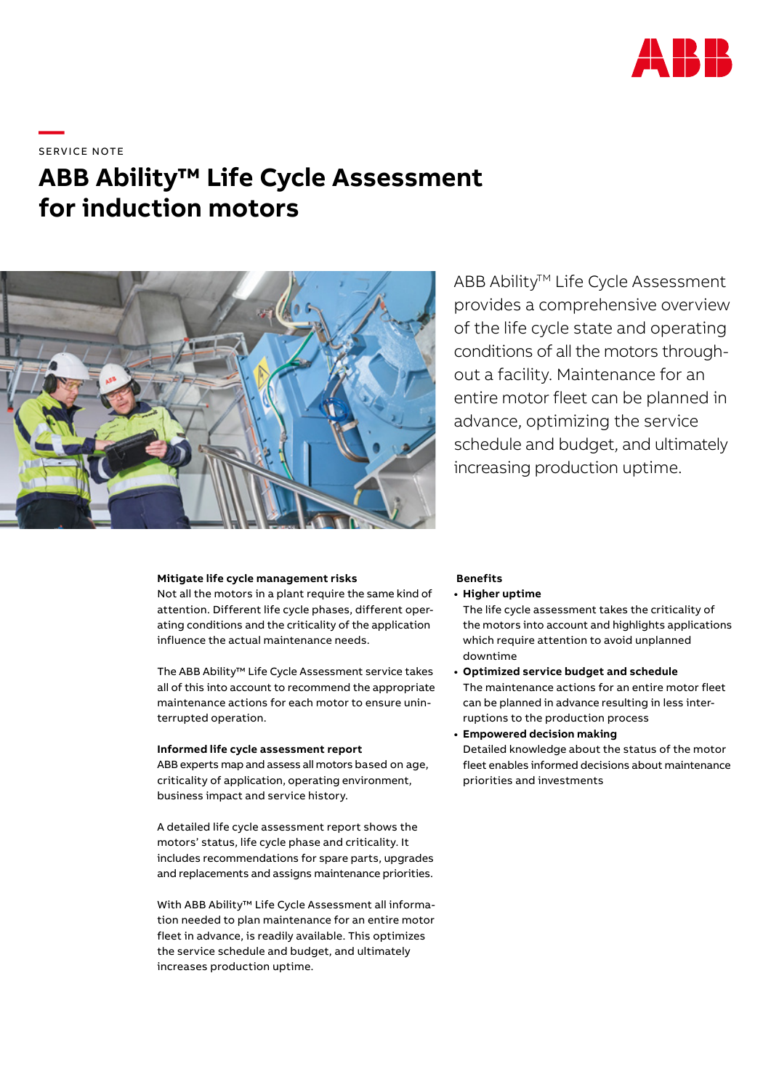

**—**  SERVICE NOTE

# **ABB Ability™ Life Cycle Assessment for induction motors**



ABB Ability<sup>™</sup> Life Cycle Assessment provides a comprehensive overview of the life cycle state and operating conditions of all the motors throughout a facility. Maintenance for an entire motor fleet can be planned in advance, optimizing the service schedule and budget, and ultimately increasing production uptime.

#### **Mitigate life cycle management risks**

Not all the motors in a plant require the same kind of attention. Different life cycle phases, different operating conditions and the criticality of the application influence the actual maintenance needs.

The ABB Ability™ Life Cycle Assessment service takes all of this into account to recommend the appropriate maintenance actions for each motor to ensure uninterrupted operation.

#### **Informed life cycle assessment report**

ABB experts map and assess all motors based on age, criticality of application, operating environment, business impact and service history.

A detailed life cycle assessment report shows the motors' status, life cycle phase and criticality. It includes recommendations for spare parts, upgrades and replacements and assigns maintenance priorities.

With ABB Ability™ Life Cycle Assessment all information needed to plan maintenance for an entire motor fleet in advance, is readily available. This optimizes the service schedule and budget, and ultimately increases production uptime.

#### **Benefits**

- **• Higher uptime**
	- The life cycle assessment takes the criticality of the motors into account and highlights applications which require attention to avoid unplanned downtime
- **• Optimized service budget and schedule** The maintenance actions for an entire motor fleet can be planned in advance resulting in less interruptions to the production process
- **• Empowered decision making** Detailed knowledge about the status of the motor fleet enables informed decisions about maintenance priorities and investments